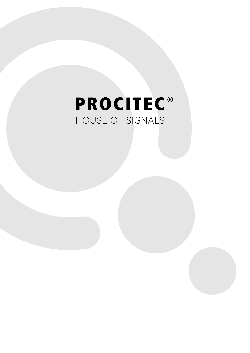# **PROCITEC®** HOUSE OF SIGNALS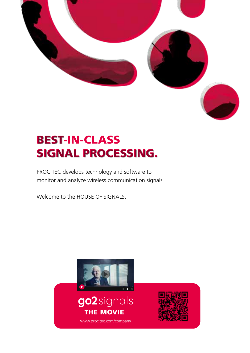

## BEST-IN-CLASS BEST SIGNAL PROCESSING. SIGNAL PROCESSING.

PROCITEC develops technology and software to monitor and analyze wireless communication signals.

Welcome to the HOUSE OF SIGNALS.



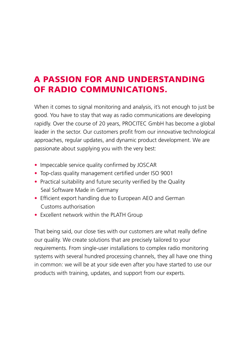#### A PASSION FOR AND UNDERSTANDING OF RADIO COMMUNICATIONS.

When it comes to signal monitoring and analysis, it's not enough to just be good. You have to stay that way as radio communications are developing rapidly. Over the course of 20 years, PROCITEC GmbH has become a global leader in the sector. Our customers profit from our innovative technological approaches, regular updates, and dynamic product development. We are passionate about supplying you with the very best:

- Impeccable service quality confirmed by JOSCAR
- Top-class quality management certified under ISO 9001
- Practical suitability and future security verified by the Quality Seal Software Made in Germany
- Efficient export handling due to European AEO and German Customs authorisation
- Excellent network within the PLATH Group

That being said, our close ties with our customers are what really define our quality. We create solutions that are precisely tailored to your requirements. From single-user installations to complex radio monitoring systems with several hundred processing channels, they all have one thing in common: we will be at your side even after you have started to use our products with training, updates, and support from our experts.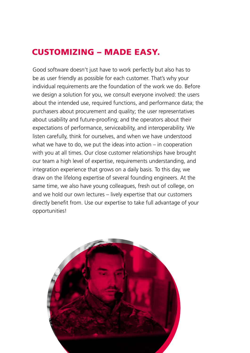#### CUSTOMIZING – MADE EASY.

Good software doesn't just have to work perfectly but also has to be as user friendly as possible for each customer. That's why your individual requirements are the foundation of the work we do. Before we design a solution for you, we consult everyone involved: the users about the intended use, required functions, and performance data; the purchasers about procurement and quality; the user representatives about usability and future-proofing; and the operators about their expectations of performance, serviceability, and interoperability. We listen carefully, think for ourselves, and when we have understood what we have to do, we put the ideas into action – in cooperation with you at all times. Our close customer relationships have brought our team a high level of expertise, requirements understanding, and integration experience that grows on a daily basis. To this day, we draw on the lifelong expertise of several founding engineers. At the same time, we also have young colleagues, fresh out of college, on and we hold our own lectures – lively expertise that our customers directly benefit from. Use our expertise to take full advantage of your opportunities!

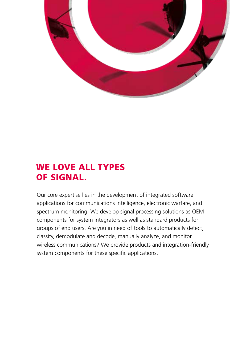

#### WE LOVE ALL TYPES OF SIGNAL.

Our core expertise lies in the development of integrated software applications for communications intelligence, electronic warfare, and spectrum monitoring. We develop signal processing solutions as OEM components for system integrators as well as standard products for groups of end users. Are you in need of tools to automatically detect, classify, demodulate and decode, manually analyze, and monitor wireless communications? We provide products and integration-friendly system components for these specific applications.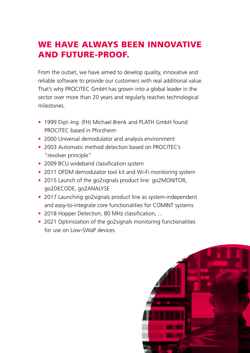#### WE HAVE ALWAYS BEEN INNOVATIVE AND FUTURE-PROOF.

From the outset, we have aimed to develop quality, innovative and reliable software to provide our customers with real additional value. That's why PROCITEC GmbH has grown into a global leader in the sector over more than 20 years and regularly reaches technological milestones.

- 1999 Dipl.-Ing. (FH) Michael Brenk and PLATH GmbH found PROCITEC based in Pforzheim
- 2000 Universal demodulator and analysis environment
- 2003 Automatic method detection based on PROCITEC's "revolver principle"
- 2009 BCU wideband classification system
- 2011 OFDM demodulator tool kit and Wi-Fi monitoring system
- 2015 Launch of the go2signals product line: go2MONITOR, go2DECODE, go2ANALYSE
- 2017 Launching go2signals product line as system-independent and easy-to-integrate core functionalities for COMINT systems
- 2018 Hopper Detection, 80 MHz classification, ...
- 2021 Optimization of the go2signals monitoring functionalities for use on Low-SWaP devices

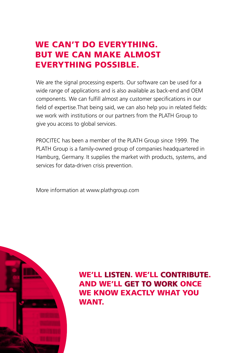#### WE CAN'T DO EVERYTHING. BUT WE CAN MAKE ALMOST EVERYTHING POSSIBLE.

We are the signal processing experts. Our software can be used for a wide range of applications and is also available as back-end and OEM components. We can fulfill almost any customer specifications in our field of expertise.That being said, we can also help you in related fields: we work with institutions or our partners from the PLATH Group to give you access to global services.

PROCITEC has been a member of the PLATH Group since 1999. The PLATH Group is a family-owned group of companies headquartered in Hamburg, Germany. It supplies the market with products, systems, and services for data-driven crisis prevention.

More information at www.plathgroup.com



WE'LL LISTEN. WE'LL CONTRIBUTE. AND WE'LL GET TO WORK ONCE GET TO WORK WE KNOW EXACTLY WHAT YOU WANT.